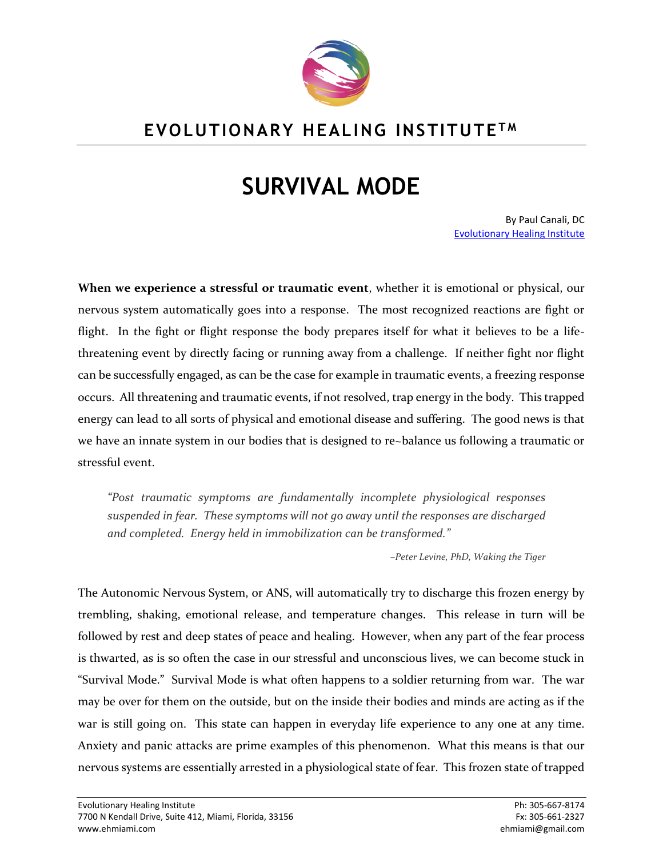

## **EVOLUTIONARY HEALING INSTITUTE T M**

## **SURVIVAL MODE**

By Paul Canali, DC [Evolutionary Healing Institute](http://www.evolutionaryhealinginstitute.com/)

**When we experience a stressful or traumatic event**, whether it is emotional or physical, our nervous system automatically goes into a response. The most recognized reactions are fight or flight. In the fight or flight response the body prepares itself for what it believes to be a lifethreatening event by directly facing or running away from a challenge. If neither fight nor flight can be successfully engaged, as can be the case for example in traumatic events, a freezing response occurs. All threatening and traumatic events, if not resolved, trap energy in the body. This trapped energy can lead to all sorts of physical and emotional disease and suffering. The good news is that we have an innate system in our bodies that is designed to re~balance us following a traumatic or stressful event.

*"Post traumatic symptoms are fundamentally incomplete physiological responses suspended in fear. These symptoms will not go away until the responses are discharged and completed. Energy held in immobilization can be transformed."*

*–Peter Levine, PhD, Waking the Tiger*

The Autonomic Nervous System, or ANS, will automatically try to discharge this frozen energy by trembling, shaking, emotional release, and temperature changes. This release in turn will be followed by rest and deep states of peace and healing. However, when any part of the fear process is thwarted, as is so often the case in our stressful and unconscious lives, we can become stuck in "Survival Mode." Survival Mode is what often happens to a soldier returning from war. The war may be over for them on the outside, but on the inside their bodies and minds are acting as if the war is still going on. This state can happen in everyday life experience to any one at any time. Anxiety and panic attacks are prime examples of this phenomenon. What this means is that our nervous systems are essentially arrested in a physiological state of fear. This frozen state of trapped